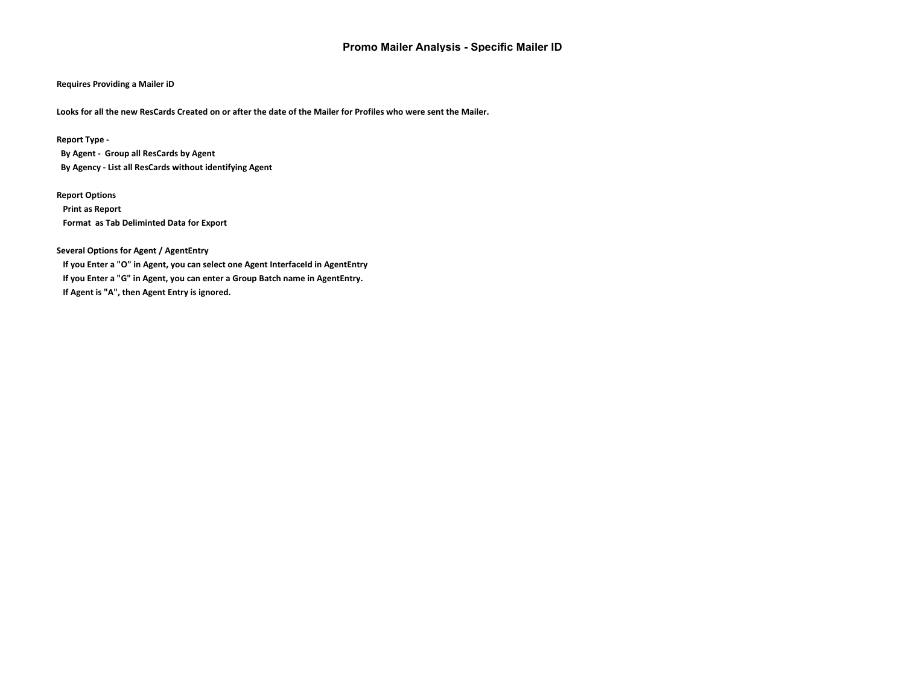# **Promo Mailer Analysis - Specific Mailer ID**

### **Requires Providing a Mailer iD**

**Looks for all the new ResCards Created on or after the date of the Mailer for Profiles who were sent the Mailer.**

#### **Report Type -**

 **By Agent - Group all ResCards by Agent By Agency - List all ResCards without identifying Agent**

#### **Report Options**

 **Print as Report Format as Tab Deliminted Data for Export**

## **Several Options for Agent / AgentEntry**

 **If you Enter a "O" in Agent, you can select one Agent InterfaceId in AgentEntry If you Enter a "G" in Agent, you can enter a Group Batch name in AgentEntry. If Agent is "A", then Agent Entry is ignored.**